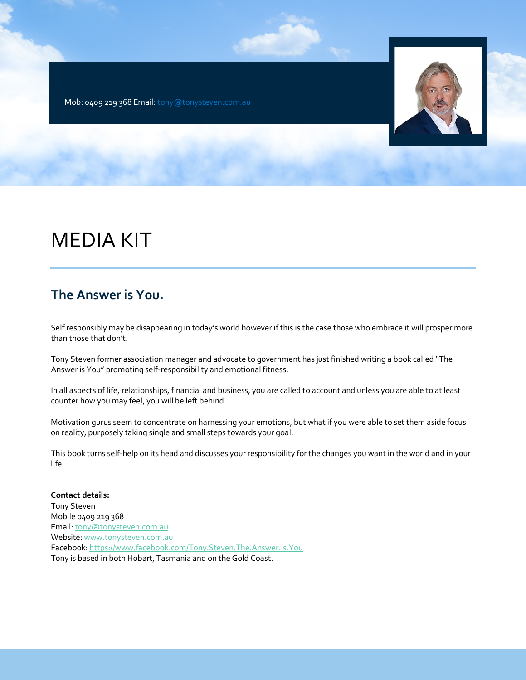Mob: 0409 219 368 Email[: tony@tonysteven.com.au](about:blank)



# MEDIA KIT

## **The Answer is You.**

Self responsibly may be disappearing in today's world however if this is the case those who embrace it will prosper more than those that don't.

Tony Steven former association manager and advocate to government has just finished writing a book called "The Answer is You" promoting self-responsibility and emotional fitness.

In all aspects of life, relationships, financial and business, you are called to account and unless you are able to at least counter how you may feel, you will be left behind.

Motivation gurus seem to concentrate on harnessing your emotions, but what if you were able to set them aside focus on reality, purposely taking single and small steps towards your goal.

This book turns self-help on its head and discusses your responsibility for the changes you want in the world and in your life.

**Contact details:** Tony Steven Mobile 0409 219 368 Email[: tony@tonysteven.com.au](about:blank) Website[: www.tonysteven.com.au](about:blank) Facebook[: https://www.facebook.com/Tony.Steven.The.Answer.Is.You](about:blank) Tony is based in both Hobart, Tasmania and on the Gold Coast.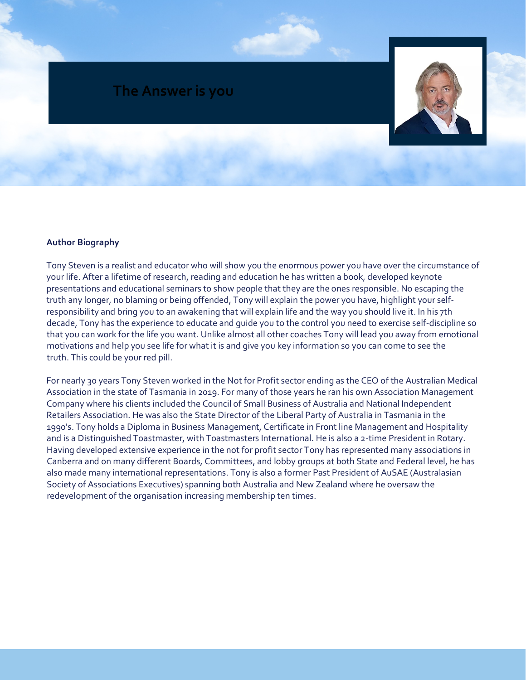

### **Author Biography**

Tony Steven is a realist and educator who will show you the enormous power you have over the circumstance of your life. After a lifetime of research, reading and education he has written a book, developed keynote presentations and educational seminars to show people that they are the ones responsible. No escaping the truth any longer, no blaming or being offended, Tony will explain the power you have, highlight your selfresponsibility and bring you to an awakening that will explain life and the way you should live it. In his 7th decade, Tony has the experience to educate and guide you to the control you need to exercise self-discipline so that you can work for the life you want. Unlike almost all other coaches Tony will lead you away from emotional motivations and help you see life for what it is and give you key information so you can come to see the truth. This could be your red pill.

For nearly 30 years Tony Steven worked in the Not for Profit sector ending as the CEO of the Australian Medical Association in the state of Tasmania in 2019. For many of those years he ran his own Association Management Company where his clients included the Council of Small Business of Australia and National Independent Retailers Association. He was also the State Director of the Liberal Party of Australia in Tasmania in the 1990's. Tony holds a Diploma in Business Management, Certificate in Front line Management and Hospitality and is a Distinguished Toastmaster, with Toastmasters International. He is also a 2-time President in Rotary. Having developed extensive experience in the not for profit sector Tony has represented many associations in Canberra and on many different Boards, Committees, and lobby groups at both State and Federal level, he has also made many international representations. Tony is also a former Past President of AuSAE (Australasian Society of Associations Executives) spanning both Australia and New Zealand where he oversaw the redevelopment of the organisation increasing membership ten times.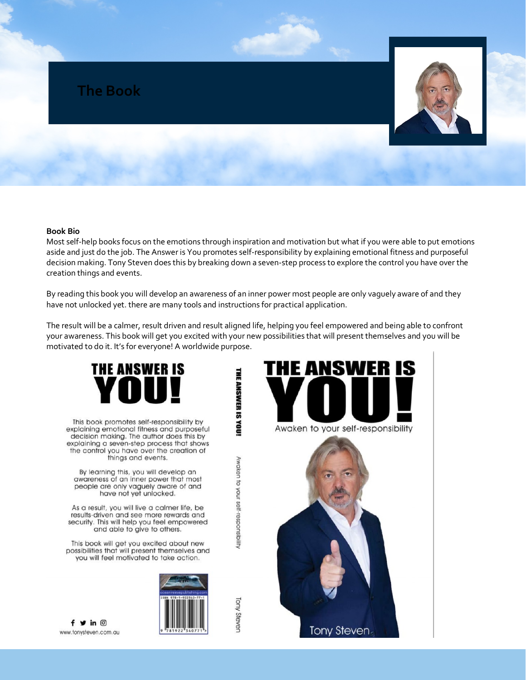

#### **Book Bio**

Most self-help books focus on the emotions through inspiration and motivation but what if you were able to put emotions aside and just do the job. The Answer is You promotes self-responsibility by explaining emotional fitness and purposeful decision making. Tony Steven does this by breaking down a seven-step process to explore the control you have over the creation things and events.

By reading this book you will develop an awareness of an inner power most people are only vaguely aware of and they have not unlocked yet. there are many tools and instructions for practical application.

The result will be a calmer, result driven and result aligned life, helping you feel empowered and being able to confront your awareness. This book will get you excited with your new possibilities that will present themselves and you will be motivated to do it. It's for everyone! A worldwide purpose.

THE ANSWER IS YOU!

Awaken to your self-responsibility

**Fory Stever** 



This book promotes self-responsibility by explaining emotional fitness and purposeful decision making. The author does this by explaining a seven-step process that shows the control you have over the creation of things and events.

By learning this, you will develop an<br>awareness of an inner power that most people are only vaguely aware of and have not yet unlocked.

As a result, you will live a calmer life, be results-driven and see more rewards and security. This will help you feel empowered and able to give to others.

This book will get you excited about new possibilities that will present themselves and you will feel motivated to take action.



NSWER IS HE AI Awaken to your self-responsibility **Tony Steven** 

 $f \vee in \circledcirc$ www.tonysteven.com.au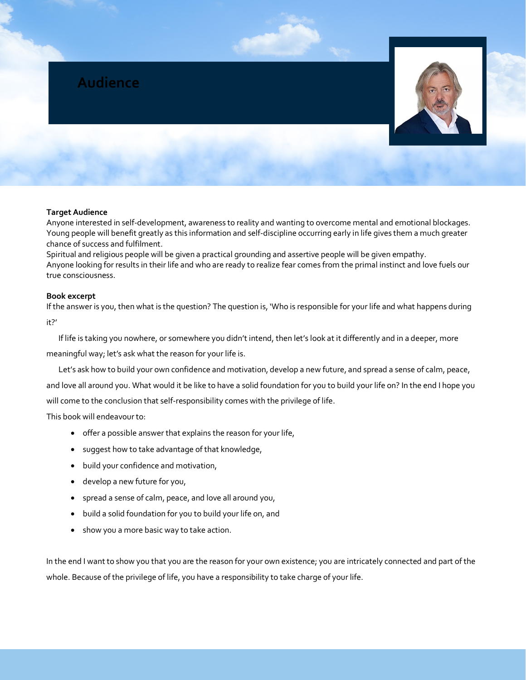

#### **Target Audience**

Anyone interested in self-development, awareness to reality and wanting to overcome mental and emotional blockages. Young people will benefit greatly as this information and self-discipline occurring early in life gives them a much greater chance of success and fulfilment.

Spiritual and religious people will be given a practical grounding and assertive people will be given empathy. Anyone looking for results in their life and who are ready to realize fear comes from the primal instinct and love fuels our true consciousness.

#### **Book excerpt**

If the answer is you, then what is the question? The question is, 'Who is responsible for your life and what happens during it?'

If life is taking you nowhere, or somewhere you didn't intend, then let's look at it differently and in a deeper, more

meaningful way; let's ask what the reason for your life is.

Let's ask how to build your own confidence and motivation, develop a new future, and spread a sense of calm, peace,

and love all around you. What would it be like to have a solid foundation for you to build your life on? In the end I hope you will come to the conclusion that self-responsibility comes with the privilege of life.

This book will endeavour to:

- offer a possible answer that explains the reason for your life,
- suggest how to take advantage of that knowledge,
- build your confidence and motivation,
- develop a new future for you,
- spread a sense of calm, peace, and love all around you,
- build a solid foundation for you to build your life on, and
- show you a more basic way to take action.

In the end I want to show you that you are the reason for your own existence; you are intricately connected and part of the whole. Because of the privilege of life, you have a responsibility to take charge of your life.